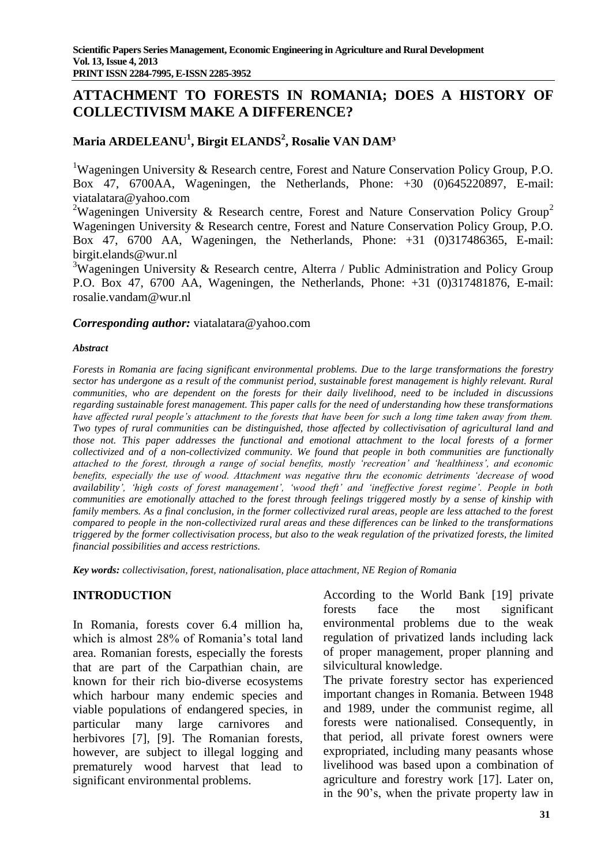# **ATTACHMENT TO FORESTS IN ROMANIA; DOES A HISTORY OF COLLECTIVISM MAKE A DIFFERENCE?**

# **Maria ARDELEANU<sup>1</sup> , Birgit ELANDS<sup>2</sup> , Rosalie VAN DAM³**

<sup>1</sup>Wageningen University & Research centre, Forest and Nature Conservation Policy Group, P.O. Box 47, 6700AA, Wageningen, the Netherlands, Phone: +30 (0)645220897, E-mail: [viatalatara@yahoo.com](mailto:viatalatara@yahoo.com)

<sup>2</sup>Wageningen University & Research centre, Forest and Nature Conservation Policy Group<sup>2</sup> Wageningen University & Research centre, Forest and Nature Conservation Policy Group, P.O. Box 47, 6700 AA, Wageningen, the Netherlands, Phone: +31 (0)317486365, E-mail: [birgit.elands@wur.nl](mailto:birgit.elands@wur.nl)

<sup>3</sup>Wageningen University & Research centre, Alterra / Public Administration and Policy Group P.O. Box 47, 6700 AA, Wageningen, the Netherlands, Phone: +31 (0)317481876, E-mail: [rosalie.vandam@wur.nl](mailto:rosalie.vandam@wur.nl)

#### *Corresponding author:* [viatalatara@yahoo.com](mailto:viatalatara@yahoo.com)

#### *Abstract*

*Forests in Romania are facing significant environmental problems. Due to the large transformations the forestry sector has undergone as a result of the communist period, sustainable forest management is highly relevant. Rural communities, who are dependent on the forests for their daily livelihood, need to be included in discussions regarding sustainable forest management. This paper calls for the need of understanding how these transformations have affected rural people's attachment to the forests that have been for such a long time taken away from them. Two types of rural communities can be distinguished, those affected by collectivisation of agricultural land and those not. This paper addresses the functional and emotional attachment to the local forests of a former collectivized and of a non-collectivized community. We found that people in both communities are functionally attached to the forest, through a range of social benefits, mostly 'recreation' and 'healthiness', and economic benefits, especially the use of wood. Attachment was negative thru the economic detriments 'decrease of wood availability', 'high costs of forest management', 'wood theft' and 'ineffective forest regime'. People in both communities are emotionally attached to the forest through feelings triggered mostly by a sense of kinship with family members. As a final conclusion, in the former collectivized rural areas, people are less attached to the forest compared to people in the non-collectivized rural areas and these differences can be linked to the transformations triggered by the former collectivisation process, but also to the weak regulation of the privatized forests, the limited financial possibilities and access restrictions.*

*Key words: collectivisation, forest, nationalisation, place attachment, NE Region of Romania*

# **INTRODUCTION**

In Romania, forests cover 6.4 million ha, which is almost 28% of Romania's total land area. Romanian forests, especially the forests that are part of the Carpathian chain, are known for their rich bio-diverse ecosystems which harbour many endemic species and viable populations of endangered species, in particular many large carnivores and herbivores [7], [9]. The Romanian forests, however, are subject to illegal logging and prematurely wood harvest that lead to significant environmental problems.

According to the World Bank [19] private forests face the most significant environmental problems due to the weak regulation of privatized lands including lack of proper management, proper planning and silvicultural knowledge.

The private forestry sector has experienced important changes in Romania. Between 1948 and 1989, under the communist regime, all forests were nationalised. Consequently, in that period, all private forest owners were expropriated, including many peasants whose livelihood was based upon a combination of agriculture and forestry work [17]. Later on, in the 90's, when the private property law in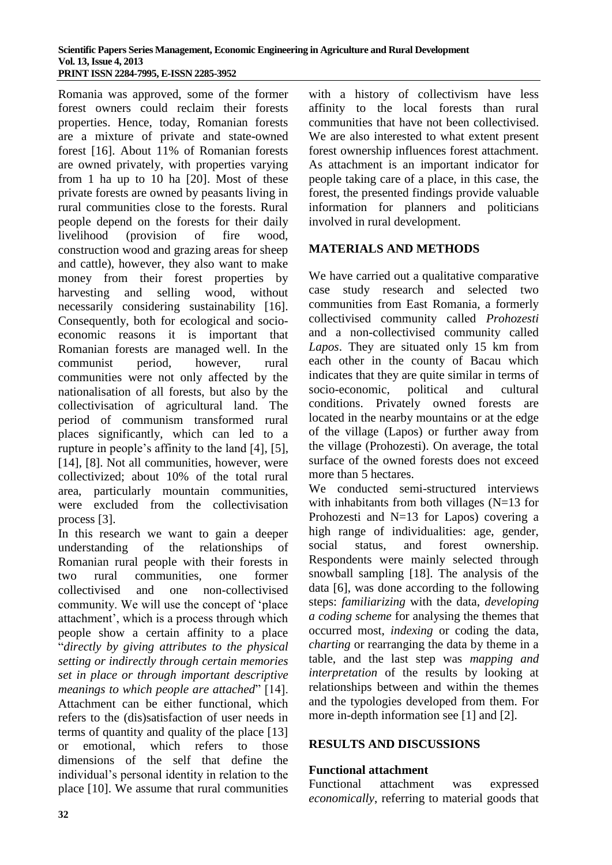Romania was approved, some of the former forest owners could reclaim their forests properties. Hence, today, Romanian forests are a mixture of private and state-owned forest [16]. About 11% of Romanian forests are owned privately, with properties varying from 1 ha up to 10 ha [20]. Most of these private forests are owned by peasants living in rural communities close to the forests. Rural people depend on the forests for their daily livelihood (provision of fire wood, construction wood and grazing areas for sheep and cattle), however, they also want to make money from their forest properties by harvesting and selling wood, without necessarily considering sustainability [16]. Consequently, both for ecological and socioeconomic reasons it is important that Romanian forests are managed well. In the communist period, however, rural communities were not only affected by the nationalisation of all forests, but also by the collectivisation of agricultural land. The period of communism transformed rural places significantly, which can led to a rupture in people's affinity to the land [4], [5], [14], [8]. Not all communities, however, were collectivized; about 10% of the total rural area, particularly mountain communities, were excluded from the collectivisation process [3].

In this research we want to gain a deeper understanding of the relationships of Romanian rural people with their forests in two rural communities, one former collectivised and one non-collectivised community. We will use the concept of 'place attachment', which is a process through which people show a certain affinity to a place "*directly by giving attributes to the physical setting or indirectly through certain memories set in place or through important descriptive meanings to which people are attached*" [14]. Attachment can be either functional, which refers to the (dis)satisfaction of user needs in terms of quantity and quality of the place [13] or emotional, which refers to those dimensions of the self that define the individual's personal identity in relation to the place [10]. We assume that rural communities with a history of collectivism have less affinity to the local forests than rural communities that have not been collectivised. We are also interested to what extent present forest ownership influences forest attachment. As attachment is an important indicator for people taking care of a place, in this case, the forest, the presented findings provide valuable information for planners and politicians involved in rural development.

# **MATERIALS AND METHODS**

We have carried out a qualitative comparative case study research and selected two communities from East Romania, a formerly collectivised community called *Prohozesti* and a non-collectivised community called *Lapos*. They are situated only 15 km from each other in the county of Bacau which indicates that they are quite similar in terms of socio-economic, political and cultural conditions. Privately owned forests are located in the nearby mountains or at the edge of the village (Lapos) or further away from the village (Prohozesti). On average, the total surface of the owned forests does not exceed more than 5 hectares.

We conducted semi-structured interviews with inhabitants from both villages  $(N=13$  for Prohozesti and N=13 for Lapos) covering a high range of individualities: age, gender, social status, and forest ownership. Respondents were mainly selected through snowball sampling [18]. The analysis of the data [6], was done according to the following steps: *familiarizing* with the data, *developing a coding scheme* for analysing the themes that occurred most, *indexing* or coding the data, *charting* or rearranging the data by theme in a table, and the last step was *mapping and interpretation* of the results by looking at relationships between and within the themes and the typologies developed from them. For more in-depth information see [1] and [2].

# **RESULTS AND DISCUSSIONS**

# **Functional attachment**

Functional attachment was expressed *economically*, referring to material goods that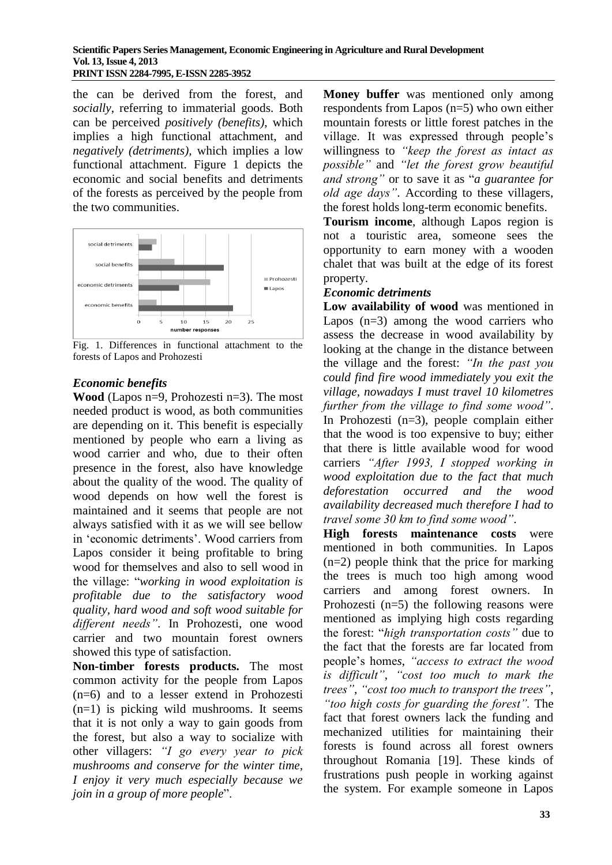the can be derived from the forest, and *socially*, referring to immaterial goods. Both can be perceived *positively (benefits)*, which implies a high functional attachment, and *negatively (detriments),* which implies a low functional attachment. Figure 1 depicts the economic and social benefits and detriments of the forests as perceived by the people from the two communities.



Fig. 1. Differences in functional attachment to the forests of Lapos and Prohozesti

# *Economic benefits*

**Wood** (Lapos n=9, Prohozesti n=3). The most needed product is wood, as both communities are depending on it. This benefit is especially mentioned by people who earn a living as wood carrier and who, due to their often presence in the forest, also have knowledge about the quality of the wood. The quality of wood depends on how well the forest is maintained and it seems that people are not always satisfied with it as we will see bellow in 'economic detriments'. Wood carriers from Lapos consider it being profitable to bring wood for themselves and also to sell wood in the village: "*working in wood exploitation is profitable due to the satisfactory wood quality, hard wood and soft wood suitable for different needs"*. In Prohozesti, one wood carrier and two mountain forest owners showed this type of satisfaction.

**Non-timber forests products.** The most common activity for the people from Lapos (n=6) and to a lesser extend in Prohozesti (n=1) is picking wild mushrooms. It seems that it is not only a way to gain goods from the forest, but also a way to socialize with other villagers: *"I go every year to pick mushrooms and conserve for the winter time, I enjoy it very much especially because we join in a group of more people*".

**Money buffer** was mentioned only among respondents from Lapos (n=5) who own either mountain forests or little forest patches in the village. It was expressed through people's willingness to *"keep the forest as intact as possible"* and *"let the forest grow beautiful and strong"* or to save it as "*a guarantee for old age days"*. According to these villagers, the forest holds long-term economic benefits.

**Tourism income**, although Lapos region is not a touristic area, someone sees the opportunity to earn money with a wooden chalet that was built at the edge of its forest property.

# *Economic detriments*

**Low availability of wood** was mentioned in Lapos  $(n=3)$  among the wood carriers who assess the decrease in wood availability by looking at the change in the distance between the village and the forest: *"In the past you could find fire wood immediately you exit the village, nowadays I must travel 10 kilometres further from the village to find some wood"*. In Prohozesti (n=3), people complain either that the wood is too expensive to buy; either that there is little available wood for wood carriers *"After 1993, I stopped working in wood exploitation due to the fact that much deforestation occurred and the wood availability decreased much therefore I had to travel some 30 km to find some wood"*.

**High forests maintenance costs** were mentioned in both communities. In Lapos (n=2) people think that the price for marking the trees is much too high among wood carriers and among forest owners. In Prohozesti  $(n=5)$  the following reasons were mentioned as implying high costs regarding the forest: "*high transportation costs"* due to the fact that the forests are far located from people's home*s*, *"access to extract the wood is difficult"*, *"cost too much to mark the trees"*, *"cost too much to transport the trees"*, *"too high costs for guarding the forest".* The fact that forest owners lack the funding and mechanized utilities for maintaining their forests is found across all forest owners throughout Romania [19]. These kinds of frustrations push people in working against the system. For example someone in Lapos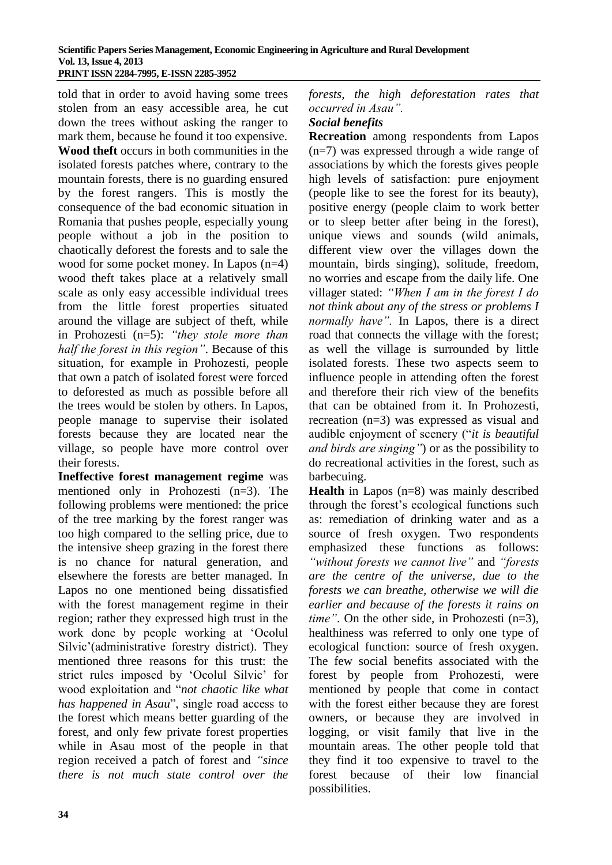told that in order to avoid having some trees stolen from an easy accessible area, he cut down the trees without asking the ranger to mark them, because he found it too expensive.

**Wood theft** occurs in both communities in the isolated forests patches where, contrary to the mountain forests, there is no guarding ensured by the forest rangers. This is mostly the consequence of the bad economic situation in Romania that pushes people, especially young people without a job in the position to chaotically deforest the forests and to sale the wood for some pocket money. In Lapos (n=4) wood theft takes place at a relatively small scale as only easy accessible individual trees from the little forest properties situated around the village are subject of theft, while in Prohozesti (n=5): *"they stole more than half the forest in this region"*. Because of this situation, for example in Prohozesti, people that own a patch of isolated forest were forced to deforested as much as possible before all the trees would be stolen by others. In Lapos, people manage to supervise their isolated forests because they are located near the village, so people have more control over their forests.

**Ineffective forest management regime** was mentioned only in Prohozesti (n=3). The following problems were mentioned: the price of the tree marking by the forest ranger was too high compared to the selling price, due to the intensive sheep grazing in the forest there is no chance for natural generation, and elsewhere the forests are better managed. In Lapos no one mentioned being dissatisfied with the forest management regime in their region; rather they expressed high trust in the work done by people working at 'Ocolul Silvic'(administrative forestry district). They mentioned three reasons for this trust: the strict rules imposed by 'Ocolul Silvic' for wood exploitation and "*not chaotic like what has happened in Asau*", single road access to the forest which means better guarding of the forest, and only few private forest properties while in Asau most of the people in that region received a patch of forest and *"since there is not much state control over the*  *forests, the high deforestation rates that occurred in Asau".* 

#### *Social benefits*

**Recreation** among respondents from Lapos (n=7) was expressed through a wide range of associations by which the forests gives people high levels of satisfaction: pure enjoyment (people like to see the forest for its beauty), positive energy (people claim to work better or to sleep better after being in the forest), unique views and sounds (wild animals, different view over the villages down the mountain, birds singing), solitude, freedom, no worries and escape from the daily life. One villager stated: *"When I am in the forest I do not think about any of the stress or problems I normally have".* In Lapos, there is a direct road that connects the village with the forest; as well the village is surrounded by little isolated forests. These two aspects seem to influence people in attending often the forest and therefore their rich view of the benefits that can be obtained from it. In Prohozesti, recreation (n=3) was expressed as visual and audible enjoyment of scenery ("*it is beautiful and birds are singing"*) or as the possibility to do recreational activities in the forest, such as barbecuing.

**Health** in Lapos (n=8) was mainly described through the forest's ecological functions such as: remediation of drinking water and as a source of fresh oxygen. Two respondents emphasized these functions as follows: *"without forests we cannot live"* and *"forests are the centre of the universe, due to the forests we can breathe, otherwise we will die earlier and because of the forests it rains on time*". On the other side, in Prohozesti (n=3), healthiness was referred to only one type of ecological function: source of fresh oxygen. The few social benefits associated with the forest by people from Prohozesti, were mentioned by people that come in contact with the forest either because they are forest owners, or because they are involved in logging, or visit family that live in the mountain areas. The other people told that they find it too expensive to travel to the forest because of their low financial possibilities.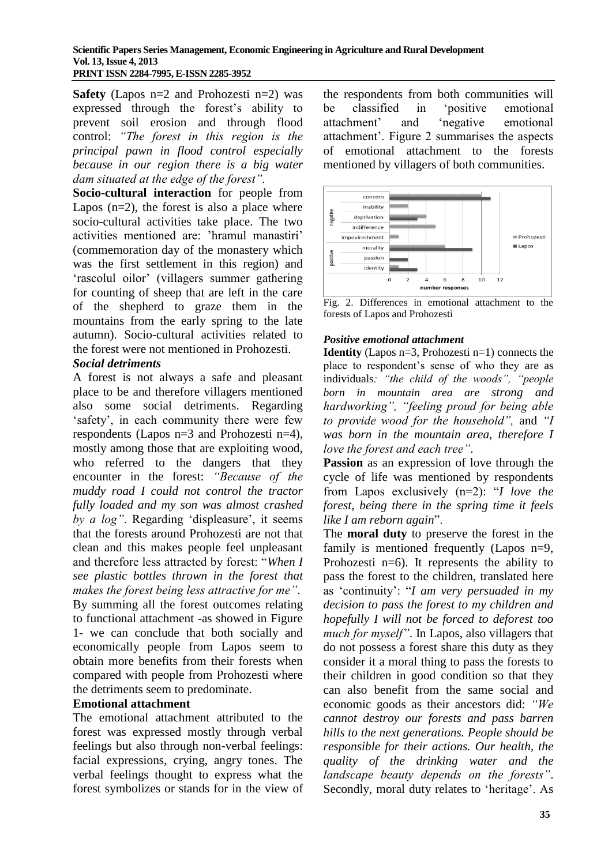#### **Scientific Papers Series Management, Economic Engineering in Agriculture and Rural Development Vol. 13, Issue 4, 2013 PRINT ISSN 2284-7995, E-ISSN 2285-3952**

**Safety** (Lapos n=2 and Prohozesti n=2) was expressed through the forest's ability to prevent soil erosion and through flood control: *"The forest in this region is the principal pawn in flood control especially because in our region there is a big water dam situated at the edge of the forest".*

**Socio-cultural interaction** for people from Lapos  $(n=2)$ , the forest is also a place where socio-cultural activities take place. The two activities mentioned are: 'hramul manastiri' (commemoration day of the monastery which was the first settlement in this region) and 'rascolul oilor' (villagers summer gathering for counting of sheep that are left in the care of the shepherd to graze them in the mountains from the early spring to the late autumn). Socio-cultural activities related to the forest were not mentioned in Prohozesti.

#### *Social detriments*

A forest is not always a safe and pleasant place to be and therefore villagers mentioned also some social detriments. Regarding 'safety', in each community there were few respondents (Lapos n=3 and Prohozesti n=4), mostly among those that are exploiting wood, who referred to the dangers that they encounter in the forest: *"Because of the muddy road I could not control the tractor fully loaded and my son was almost crashed by a log"*. Regarding 'displeasure', it seems that the forests around Prohozesti are not that clean and this makes people feel unpleasant and therefore less attracted by forest: "*When I see plastic bottles thrown in the forest that makes the forest being less attractive for me"*. By summing all the forest outcomes relating to functional attachment -as showed in Figure 1- we can conclude that both socially and economically people from Lapos seem to obtain more benefits from their forests when compared with people from Prohozesti where the detriments seem to predominate.

#### **Emotional attachment**

The emotional attachment attributed to the forest was expressed mostly through verbal feelings but also through non-verbal feelings: facial expressions, crying, angry tones. The verbal feelings thought to express what the forest symbolizes or stands for in the view of the respondents from both communities will be classified in 'positive emotional attachment' and 'negative emotional attachment'. Figure 2 summarises the aspects of emotional attachment to the forests mentioned by villagers of both communities.



Fig. 2. Differences in emotional attachment to the forests of Lapos and Prohozesti

#### *Positive emotional attachment*

**Identity** (Lapos n=3, Prohozesti n=1) connects the place to respondent's sense of who they are as individuals*: "the child of the woods", "people born in mountain area are strong and hardworking", "feeling proud for being able to provide wood for the household",* and *"I was born in the mountain area, therefore I love the forest and each tree"*.

**Passion** as an expression of love through the cycle of life was mentioned by respondents from Lapos exclusively (n=2): "*I love the forest, being there in the spring time it feels like I am reborn again*".

The **moral duty** to preserve the forest in the family is mentioned frequently (Lapos n=9, Prohozesti n=6). It represents the ability to pass the forest to the children, translated here as 'continuity': "*I am very persuaded in my decision to pass the forest to my children and hopefully I will not be forced to deforest too much for myself"*. In Lapos, also villagers that do not possess a forest share this duty as they consider it a moral thing to pass the forests to their children in good condition so that they can also benefit from the same social and economic goods as their ancestors did: *"We cannot destroy our forests and pass barren hills to the next generations. People should be responsible for their actions. Our health, the quality of the drinking water and the landscape beauty depends on the forests"*. Secondly, moral duty relates to 'heritage'. As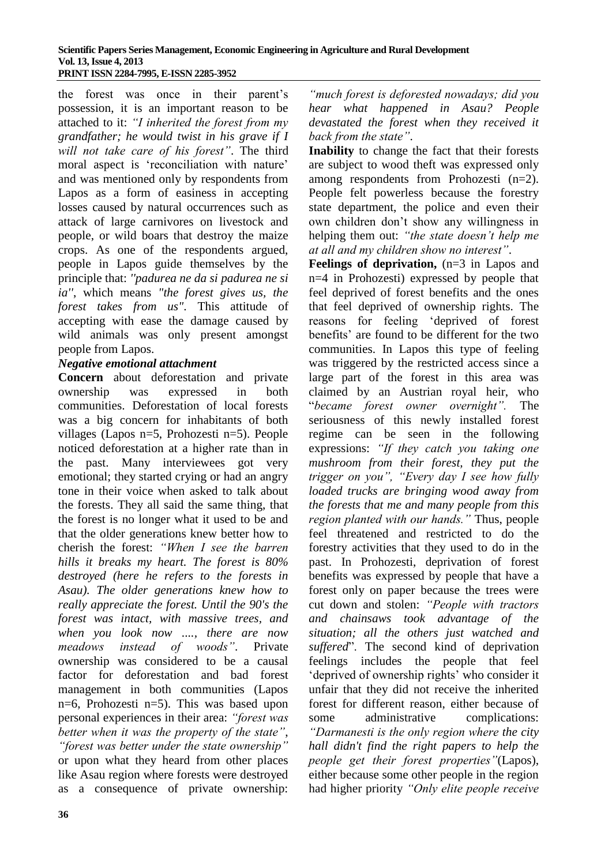the forest was once in their parent's possession, it is an important reason to be attached to it: *"I inherited the forest from my grandfather; he would twist in his grave if I will not take care of his forest"*. The third moral aspect is 'reconciliation with nature' and was mentioned only by respondents from Lapos as a form of easiness in accepting losses caused by natural occurrences such as attack of large carnivores on livestock and people, or wild boars that destroy the maize crops. As one of the respondents argued, people in Lapos guide themselves by the principle that: *''padurea ne da si padurea ne si ia''*, which means *"the forest gives us, the forest takes from us"*. This attitude of accepting with ease the damage caused by wild animals was only present amongst people from Lapos.

#### *Negative emotional attachment*

**Concern** about deforestation and private ownership was expressed in both communities. Deforestation of local forests was a big concern for inhabitants of both villages (Lapos n=5, Prohozesti n=5). People noticed deforestation at a higher rate than in the past. Many interviewees got very emotional; they started crying or had an angry tone in their voice when asked to talk about the forests. They all said the same thing, that the forest is no longer what it used to be and that the older generations knew better how to cherish the forest: *"When I see the barren hills it breaks my heart. The forest is 80% destroyed (here he refers to the forests in Asau). The older generations knew how to really appreciate the forest. Until the 90's the forest was intact, with massive trees, and when you look now ...., there are now meadows instead of woods"*. Private ownership was considered to be a causal factor for deforestation and bad forest management in both communities (Lapos n=6, Prohozesti n=5). This was based upon personal experiences in their area: *"forest was better when it was the property of the state"*, *"forest was better under the state ownership"* or upon what they heard from other places like Asau region where forests were destroyed as a consequence of private ownership:

*"much forest is deforested nowadays; did you hear what happened in Asau? People devastated the forest when they received it back from the state"*.

**Inability** to change the fact that their forests are subject to wood theft was expressed only among respondents from Prohozesti (n=2). People felt powerless because the forestry state department, the police and even their own children don't show any willingness in helping them out: *"the state doesn't help me at all and my children show no interest"*.

**Feelings of deprivation,**  $(n=3$  **in Lapos and** n=4 in Prohozesti) expressed by people that feel deprived of forest benefits and the ones that feel deprived of ownership rights. The reasons for feeling 'deprived of forest benefits' are found to be different for the two communities. In Lapos this type of feeling was triggered by the restricted access since a large part of the forest in this area was claimed by an Austrian royal heir, who "*became forest owner overnight".* The seriousness of this newly installed forest regime can be seen in the following expressions: *"If they catch you taking one mushroom from their forest, they put the trigger on you", "Every day I see how fully loaded trucks are bringing wood away from the forests that me and many people from this region planted with our hands."* Thus, people feel threatened and restricted to do the forestry activities that they used to do in the past. In Prohozesti, deprivation of forest benefits was expressed by people that have a forest only on paper because the trees were cut down and stolen: *"People with tractors and chainsaws took advantage of the situation; all the others just watched and suffered*". The second kind of deprivation feelings includes the people that feel 'deprived of ownership rights' who consider it unfair that they did not receive the inherited forest for different reason, either because of some administrative complications: *"Darmanesti is the only region where the city hall didn't find the right papers to help the people get their forest properties"*(Lapos), either because some other people in the region had higher priority *"Only elite people receive*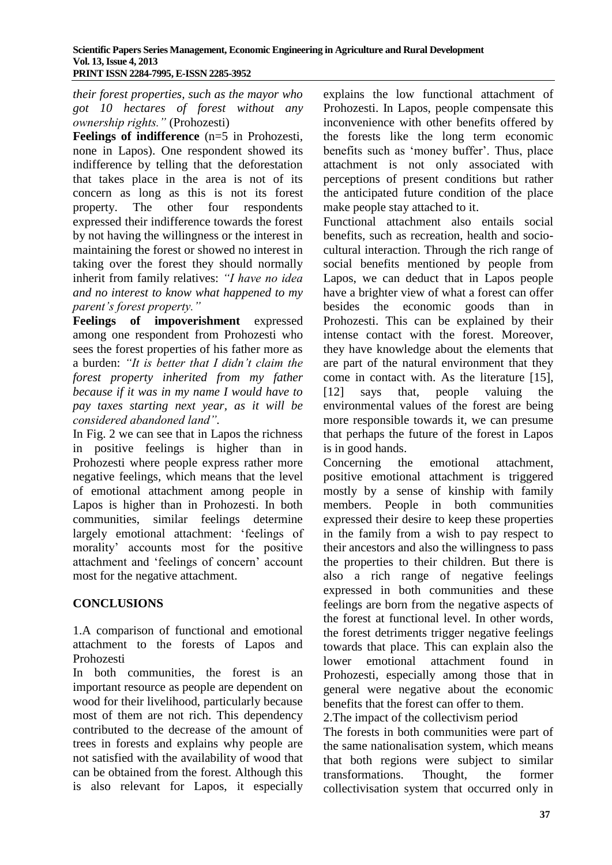*their forest properties, such as the mayor who got 10 hectares of forest without any ownership rights."* (Prohozesti)

**Feelings of indifference** (n=5 in Prohozesti, none in Lapos). One respondent showed its indifference by telling that the deforestation that takes place in the area is not of its concern as long as this is not its forest property. The other four respondents expressed their indifference towards the forest by not having the willingness or the interest in maintaining the forest or showed no interest in taking over the forest they should normally inherit from family relatives: *"I have no idea and no interest to know what happened to my parent's forest property."*

**Feelings of impoverishment** expressed among one respondent from Prohozesti who sees the forest properties of his father more as a burden: *"It is better that I didn't claim the forest property inherited from my father because if it was in my name I would have to pay taxes starting next year, as it will be considered abandoned land".*

In Fig. 2 we can see that in Lapos the richness in positive feelings is higher than in Prohozesti where people express rather more negative feelings, which means that the level of emotional attachment among people in Lapos is higher than in Prohozesti. In both communities, similar feelings determine largely emotional attachment: 'feelings of morality' accounts most for the positive attachment and 'feelings of concern' account most for the negative attachment.

# **CONCLUSIONS**

1.A comparison of functional and emotional attachment to the forests of Lapos and Prohozesti

In both communities, the forest is an important resource as people are dependent on wood for their livelihood, particularly because most of them are not rich. This dependency contributed to the decrease of the amount of trees in forests and explains why people are not satisfied with the availability of wood that can be obtained from the forest. Although this is also relevant for Lapos, it especially

explains the low functional attachment of Prohozesti. In Lapos, people compensate this inconvenience with other benefits offered by the forests like the long term economic benefits such as 'money buffer'. Thus, place attachment is not only associated with perceptions of present conditions but rather the anticipated future condition of the place make people stay attached to it.

Functional attachment also entails social benefits, such as recreation, health and sociocultural interaction. Through the rich range of social benefits mentioned by people from Lapos, we can deduct that in Lapos people have a brighter view of what a forest can offer besides the economic goods than in Prohozesti. This can be explained by their intense contact with the forest. Moreover, they have knowledge about the elements that are part of the natural environment that they come in contact with. As the literature [15], [12] says that, people valuing the environmental values of the forest are being more responsible towards it, we can presume that perhaps the future of the forest in Lapos is in good hands.

Concerning the emotional attachment, positive emotional attachment is triggered mostly by a sense of kinship with family members. People in both communities expressed their desire to keep these properties in the family from a wish to pay respect to their ancestors and also the willingness to pass the properties to their children. But there is also a rich range of negative feelings expressed in both communities and these feelings are born from the negative aspects of the forest at functional level. In other words, the forest detriments trigger negative feelings towards that place. This can explain also the lower emotional attachment found in Prohozesti, especially among those that in general were negative about the economic benefits that the forest can offer to them. 2.The impact of the collectivism period

The forests in both communities were part of the same nationalisation system, which means that both regions were subject to similar transformations. Thought, the former collectivisation system that occurred only in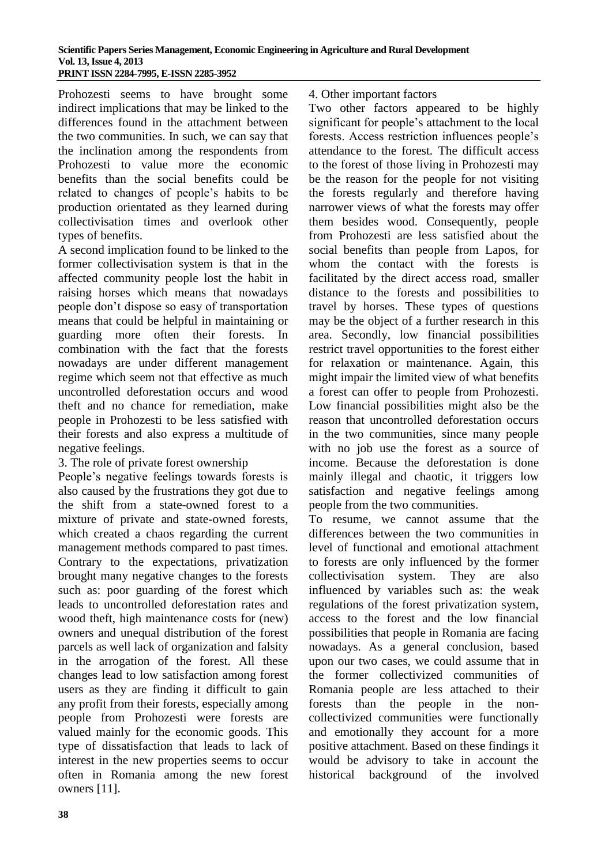Prohozesti seems to have brought some indirect implications that may be linked to the differences found in the attachment between the two communities. In such, we can say that the inclination among the respondents from Prohozesti to value more the economic benefits than the social benefits could be related to changes of people's habits to be production orientated as they learned during collectivisation times and overlook other types of benefits.

A second implication found to be linked to the former collectivisation system is that in the affected community people lost the habit in raising horses which means that nowadays people don't dispose so easy of transportation means that could be helpful in maintaining or guarding more often their forests. combination with the fact that the forests nowadays are under different management regime which seem not that effective as much uncontrolled deforestation occurs and wood theft and no chance for remediation, make people in Prohozesti to be less satisfied with their forests and also express a multitude of negative feelings.

# 3. The role of private forest ownership

People's negative feelings towards forests is also caused by the frustrations they got due to the shift from a state-owned forest to a mixture of private and state-owned forests, which created a chaos regarding the current management methods compared to past times. Contrary to the expectations, privatization brought many negative changes to the forests such as: poor guarding of the forest which leads to uncontrolled deforestation rates and wood theft, high maintenance costs for (new) owners and unequal distribution of the forest parcels as well lack of organization and falsity in the arrogation of the forest. All these changes lead to low satisfaction among forest users as they are finding it difficult to gain any profit from their forests, especially among people from Prohozesti were forests are valued mainly for the economic goods. This type of dissatisfaction that leads to lack of interest in the new properties seems to occur often in Romania among the new forest owners [11].

#### 4. Other important factors

Two other factors appeared to be highly significant for people's attachment to the local forests. Access restriction influences people's attendance to the forest. The difficult access to the forest of those living in Prohozesti may be the reason for the people for not visiting the forests regularly and therefore having narrower views of what the forests may offer them besides wood. Consequently, people from Prohozesti are less satisfied about the social benefits than people from Lapos, for whom the contact with the forests is facilitated by the direct access road, smaller distance to the forests and possibilities to travel by horses. These types of questions may be the object of a further research in this area. Secondly, low financial possibilities restrict travel opportunities to the forest either for relaxation or maintenance. Again, this might impair the limited view of what benefits a forest can offer to people from Prohozesti. Low financial possibilities might also be the reason that uncontrolled deforestation occurs in the two communities, since many people with no job use the forest as a source of income. Because the deforestation is done mainly illegal and chaotic, it triggers low satisfaction and negative feelings among people from the two communities.

To resume, we cannot assume that the differences between the two communities in level of functional and emotional attachment to forests are only influenced by the former collectivisation system. They are also influenced by variables such as: the weak regulations of the forest privatization system, access to the forest and the low financial possibilities that people in Romania are facing nowadays. As a general conclusion, based upon our two cases, we could assume that in the former collectivized communities of Romania people are less attached to their forests than the people in the noncollectivized communities were functionally and emotionally they account for a more positive attachment. Based on these findings it would be advisory to take in account the historical background of the involved